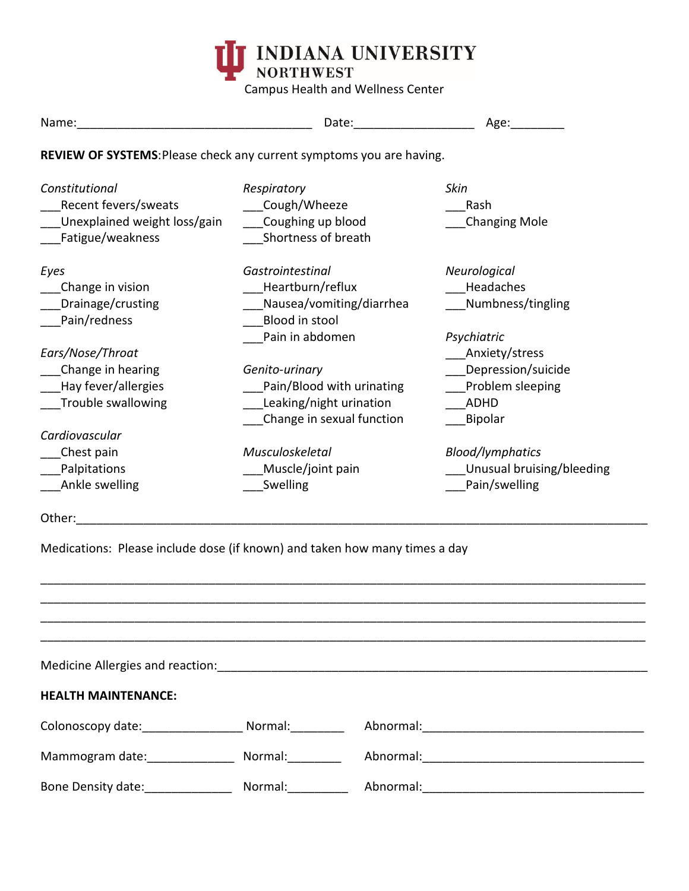

Campus Health and Wellness Center

| Name:                                                                                                                  |                                                                                                                 | Date: the contract of the contract of the contract of the contract of the contract of the contract of the contract of the contract of the contract of the contract of the contract of the contract of the contract of the cont | Age:                                                                  |  |  |
|------------------------------------------------------------------------------------------------------------------------|-----------------------------------------------------------------------------------------------------------------|--------------------------------------------------------------------------------------------------------------------------------------------------------------------------------------------------------------------------------|-----------------------------------------------------------------------|--|--|
| REVIEW OF SYSTEMS: Please check any current symptoms you are having.                                                   |                                                                                                                 |                                                                                                                                                                                                                                |                                                                       |  |  |
| Constitutional<br>Recent fevers/sweats<br>Unexplained weight loss/gain<br>Fatigue/weakness<br>Eyes<br>Change in vision | Respiratory<br>Cough/Wheeze<br>Coughing up blood<br>Shortness of breath<br>Gastrointestinal<br>Heartburn/reflux | <b>Skin</b><br>Rash<br>Neurological<br>Headaches                                                                                                                                                                               | <b>Changing Mole</b>                                                  |  |  |
| Drainage/crusting<br>Pain/redness                                                                                      | Nausea/vomiting/diarrhea<br>Blood in stool<br>Pain in abdomen                                                   | Numbness/tingling<br>Psychiatric                                                                                                                                                                                               |                                                                       |  |  |
| Ears/Nose/Throat<br>Change in hearing<br>Hay fever/allergies<br>Trouble swallowing                                     | Genito-urinary<br>Pain/Blood with urinating<br>Leaking/night urination<br>Change in sexual function             | Anxiety/stress<br>Depression/suicide<br>Problem sleeping<br>ADHD<br>Bipolar                                                                                                                                                    |                                                                       |  |  |
| Cardiovascular<br>Chest pain<br>Palpitations<br>Ankle swelling                                                         | Musculoskeletal<br>Muscle/joint pain<br>Swelling                                                                |                                                                                                                                                                                                                                | <b>Blood/lymphatics</b><br>Unusual bruising/bleeding<br>Pain/swelling |  |  |
| Other:                                                                                                                 |                                                                                                                 |                                                                                                                                                                                                                                |                                                                       |  |  |
| Medications: Please include dose (if known) and taken how many times a day                                             |                                                                                                                 |                                                                                                                                                                                                                                |                                                                       |  |  |
|                                                                                                                        |                                                                                                                 |                                                                                                                                                                                                                                |                                                                       |  |  |
| <b>HEALTH MAINTENANCE:</b>                                                                                             |                                                                                                                 |                                                                                                                                                                                                                                |                                                                       |  |  |
|                                                                                                                        |                                                                                                                 |                                                                                                                                                                                                                                |                                                                       |  |  |
|                                                                                                                        |                                                                                                                 |                                                                                                                                                                                                                                |                                                                       |  |  |
| Bone Density date: ______________                                                                                      | Normal:__________                                                                                               |                                                                                                                                                                                                                                |                                                                       |  |  |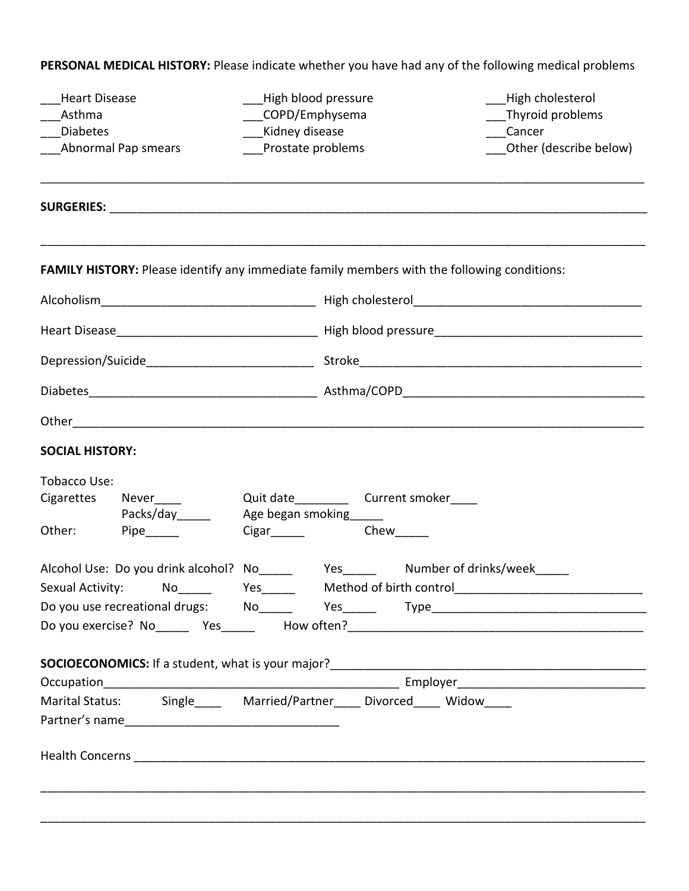|                                                                        | <b>Heart Disease</b><br>High blood pressure |                        |  |                                            | High cholesterol                                                                            |  |
|------------------------------------------------------------------------|---------------------------------------------|------------------------|--|--------------------------------------------|---------------------------------------------------------------------------------------------|--|
| Asthma                                                                 |                                             | COPD/Emphysema         |  | Thyroid problems                           |                                                                                             |  |
| Kidney disease<br><b>Diabetes</b>                                      |                                             |                        |  | Cancer                                     |                                                                                             |  |
|                                                                        | Prostate problems<br>Abnormal Pap smears    |                        |  |                                            | Other (describe below)                                                                      |  |
|                                                                        |                                             |                        |  |                                            |                                                                                             |  |
|                                                                        |                                             |                        |  |                                            | FAMILY HISTORY: Please identify any immediate family members with the following conditions: |  |
|                                                                        |                                             |                        |  |                                            |                                                                                             |  |
|                                                                        |                                             |                        |  |                                            |                                                                                             |  |
|                                                                        |                                             |                        |  |                                            |                                                                                             |  |
|                                                                        |                                             |                        |  |                                            |                                                                                             |  |
|                                                                        |                                             |                        |  |                                            |                                                                                             |  |
| <b>SOCIAL HISTORY:</b>                                                 |                                             |                        |  |                                            |                                                                                             |  |
| Tobacco Use:                                                           |                                             |                        |  |                                            |                                                                                             |  |
| Cigarettes                                                             | Never_____                                  |                        |  | Quit date_____________ Current smoker_____ |                                                                                             |  |
|                                                                        | Packs/day______                             | Age began smoking_____ |  |                                            |                                                                                             |  |
| Other:                                                                 |                                             |                        |  | Chew                                       |                                                                                             |  |
|                                                                        |                                             |                        |  |                                            | Alcohol Use: Do you drink alcohol? No______ Yes______ Number of drinks/week_____            |  |
|                                                                        |                                             |                        |  |                                            | Sexual Activity: Mo______ Yes______ Method of birth control______________________           |  |
|                                                                        |                                             |                        |  |                                            | Do you use recreational drugs: No______ Yes______ Type__________________________            |  |
|                                                                        |                                             |                        |  |                                            |                                                                                             |  |
|                                                                        |                                             |                        |  |                                            |                                                                                             |  |
|                                                                        |                                             |                        |  |                                            |                                                                                             |  |
| Marital Status: Single_____ Married/Partner____ Divorced____ Widow____ |                                             |                        |  |                                            |                                                                                             |  |
|                                                                        |                                             |                        |  |                                            |                                                                                             |  |
|                                                                        |                                             |                        |  |                                            |                                                                                             |  |
|                                                                        |                                             |                        |  |                                            |                                                                                             |  |
|                                                                        |                                             |                        |  |                                            |                                                                                             |  |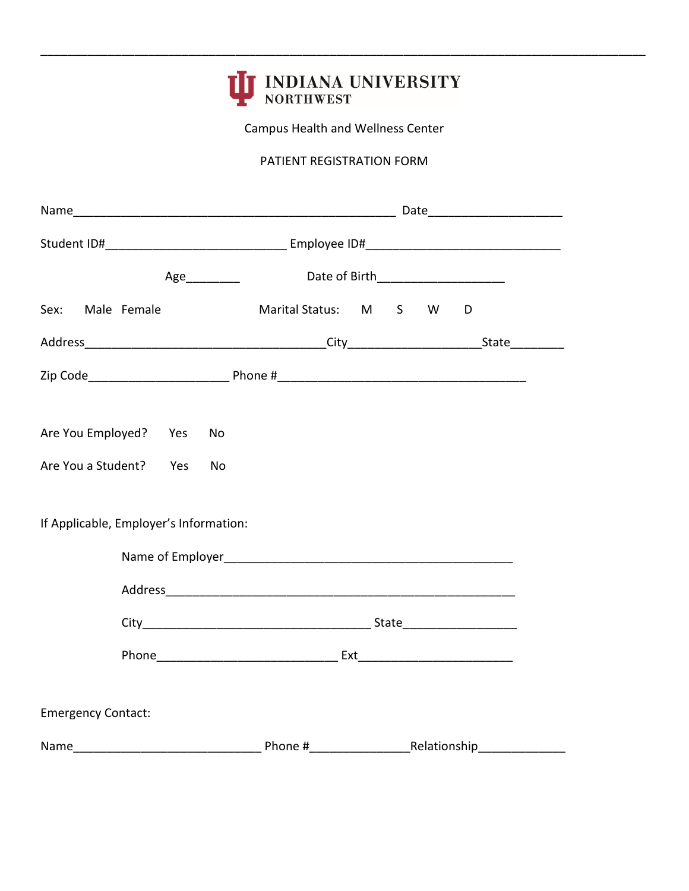

\_\_\_\_\_\_\_\_\_\_\_\_\_\_\_\_\_\_\_\_\_\_\_\_\_\_\_\_\_\_\_\_\_\_\_\_\_\_\_\_\_\_\_\_\_\_\_\_\_\_\_\_\_\_\_\_\_\_\_\_\_\_\_\_\_\_\_\_\_\_\_\_\_\_\_\_\_\_\_\_\_\_\_\_\_\_\_\_\_\_

Campus Health and Wellness Center

### PATIENT REGISTRATION FORM

|                                        |                     | Date of Birth_________________________ |
|----------------------------------------|---------------------|----------------------------------------|
| Male Female<br>Sex:                    | Marital Status: M S | W<br>D                                 |
|                                        |                     |                                        |
|                                        |                     |                                        |
|                                        |                     |                                        |
| Are You Employed? Yes                  | No                  |                                        |
| Are You a Student? Yes                 | No                  |                                        |
| If Applicable, Employer's Information: |                     |                                        |
|                                        |                     |                                        |
|                                        |                     |                                        |
|                                        |                     |                                        |
|                                        |                     |                                        |
|                                        |                     |                                        |
| <b>Emergency Contact:</b>              |                     |                                        |
|                                        |                     |                                        |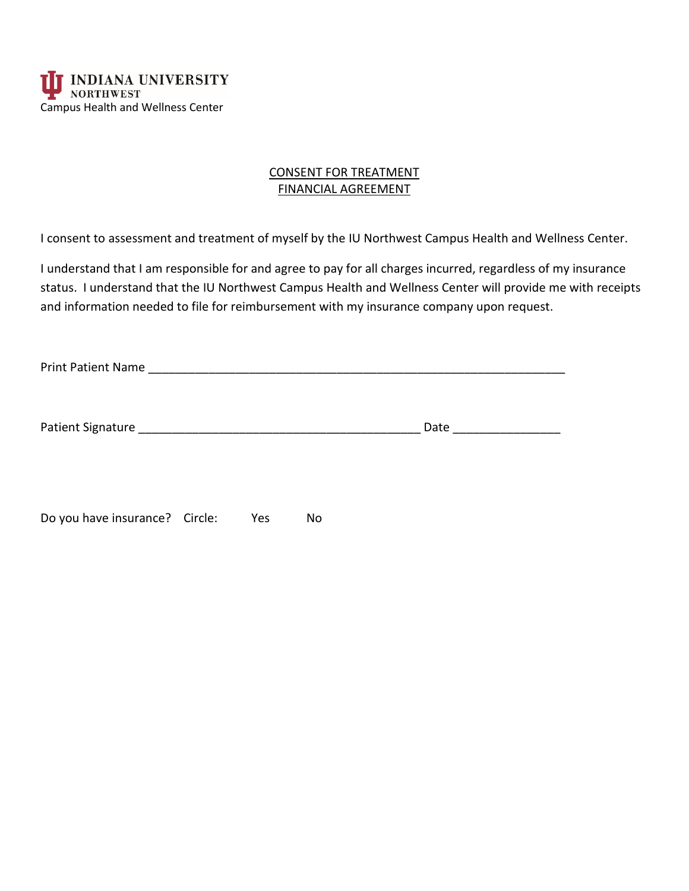

### CONSENT FOR TREATMENT FINANCIAL AGREEMENT

I consent to assessment and treatment of myself by the IU Northwest Campus Health and Wellness Center.

 I understand that I am responsible for and agree to pay for all charges incurred, regardless of my insurance status. I understand that the IU Northwest Campus Health and Wellness Center will provide me with receipts and information needed to file for reimbursement with my insurance company upon request.

|                                |     |    | Date _______________ |  |
|--------------------------------|-----|----|----------------------|--|
| Do you have insurance? Circle: | Yes | No |                      |  |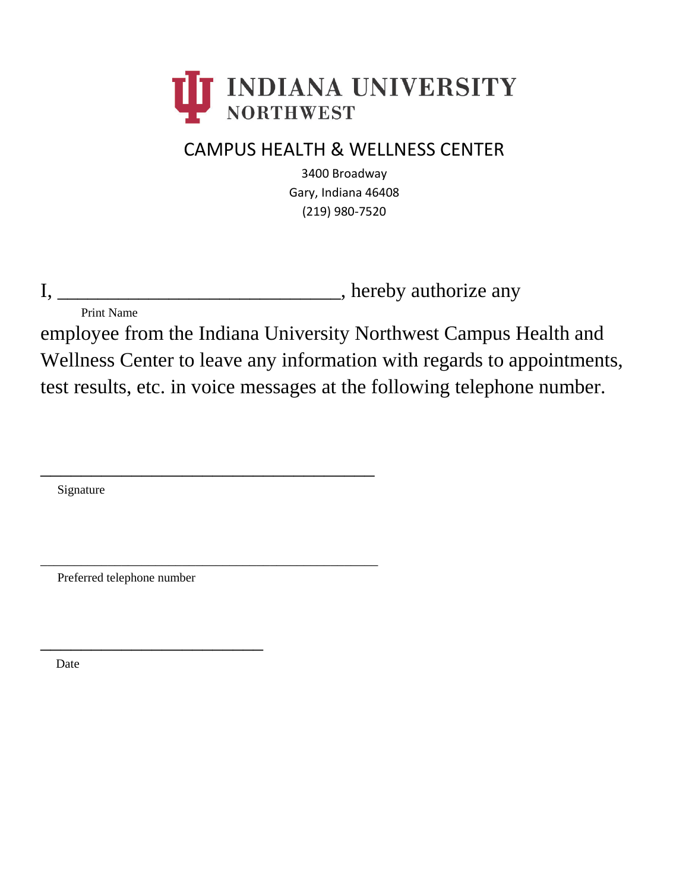

# CAMPUS HEALTH & WELLNESS CENTER

3400 Broadway Gary, Indiana 46408 (219) 980-7520

I, \_\_\_\_\_\_\_\_\_\_\_\_\_\_\_\_\_\_\_\_\_\_\_\_\_\_\_\_\_\_\_\_\_, hereby authorize any

Print Name

 Wellness Center to leave any information with regards to appointments, employee from the Indiana University Northwest Campus Health and test results, etc. in voice messages at the following telephone number.

Signature

Preferred telephone number

\_\_\_\_\_\_\_\_\_\_\_\_\_\_\_\_\_\_\_\_\_\_

\_\_\_\_\_\_\_\_\_\_\_\_\_\_\_\_\_\_\_\_\_\_\_\_\_\_\_\_\_\_\_\_\_

\_\_\_\_\_\_\_\_\_\_\_\_\_\_\_\_\_\_\_\_\_\_\_\_\_\_\_\_\_\_\_\_\_\_\_\_\_\_\_\_\_\_\_\_\_\_\_\_\_\_

Date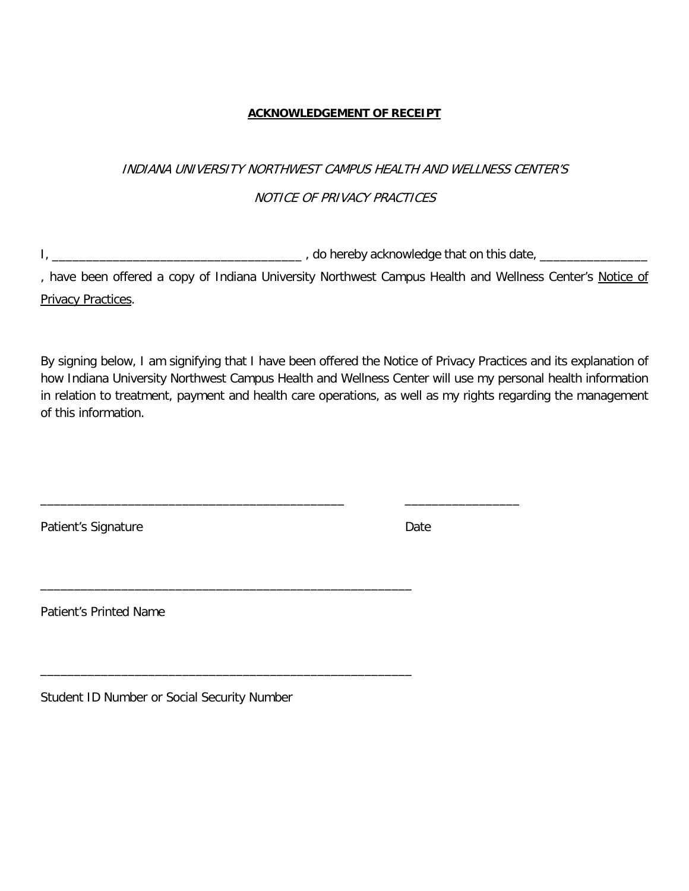#### **ACKNOWLEDGEMENT OF RECEIPT**

# NOTICE OF PRIVACY PRACTICES INDIANA UNIVERSITY NORTHWEST CAMPUS HEALTH AND WELLNESS CENTER'S

I, \_\_\_\_\_\_\_\_\_\_\_\_\_\_\_\_\_\_\_\_\_\_\_\_\_\_\_\_\_\_\_\_\_\_\_\_\_ , do hereby acknowledge that on this date, \_\_\_\_\_\_\_\_\_\_\_\_\_\_\_\_

\_\_\_\_\_\_\_\_\_\_\_\_\_\_\_\_\_\_\_\_\_\_\_\_\_\_\_\_\_\_\_\_\_\_\_\_\_\_\_\_\_\_\_\_\_ \_\_\_\_\_\_\_\_\_\_\_\_\_\_\_\_\_

\_\_\_\_\_\_\_\_\_\_\_\_\_\_\_\_\_\_\_\_\_\_\_\_\_\_\_\_\_\_\_\_\_\_\_\_\_\_\_\_\_\_\_\_\_\_\_\_\_\_\_\_\_\_\_

\_\_\_\_\_\_\_\_\_\_\_\_\_\_\_\_\_\_\_\_\_\_\_\_\_\_\_\_\_\_\_\_\_\_\_\_\_\_\_\_\_\_\_\_\_\_\_\_\_\_\_\_\_\_\_

, have been offered a copy of Indiana University Northwest Campus Health and Wellness Center's <u>Notice of</u> Privacy Practices.

 By signing below, I am signifying that I have been offered the Notice of Privacy Practices and its explanation of how Indiana University Northwest Campus Health and Wellness Center will use my personal health information in relation to treatment, payment and health care operations, as well as my rights regarding the management of this information.

Patient's Signature **Date** 

Patient's Printed Name

Student ID Number or Social Security Number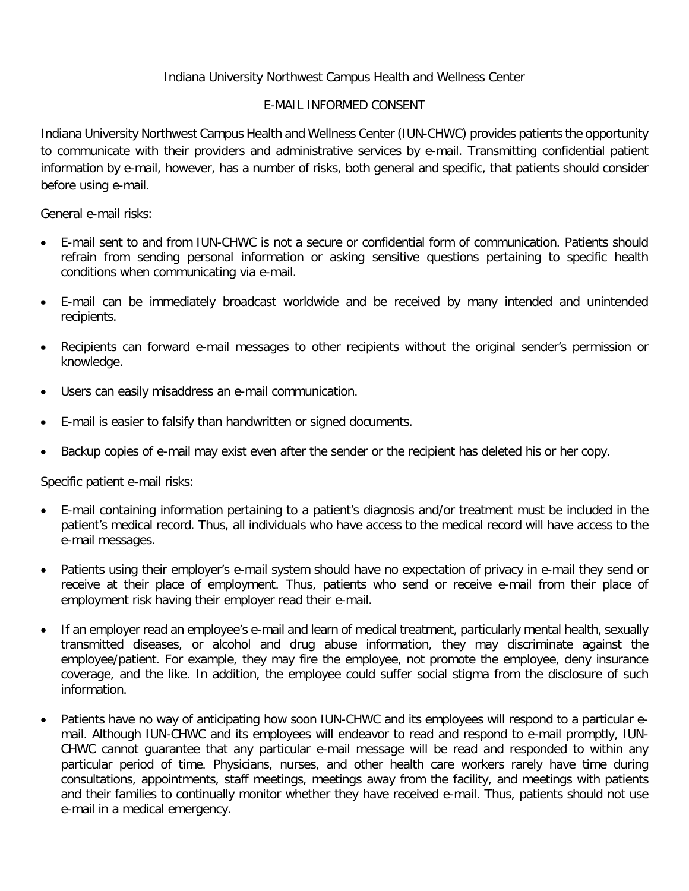# Indiana University Northwest Campus Health and Wellness Center

## E-MAIL INFORMED CONSENT

 Indiana University Northwest Campus Health and Wellness Center (IUN-CHWC) provides patients the opportunity information by e-mail, however, has a number of risks, both general and specific, that patients should consider before using e-mail. to communicate with their providers and administrative services by e-mail. Transmitting confidential patient

General e-mail risks:

- conditions when communicating via e-mail. • E-mail sent to and from IUN-CHWC is not a secure or confidential form of communication. Patients should refrain from sending personal information or asking sensitive questions pertaining to specific health
- E-mail can be immediately broadcast worldwide and be received by many intended and unintended recipients.
- • Recipients can forward e-mail messages to other recipients without the original sender's permission or knowledge.
- Users can easily misaddress an e-mail communication.
- E-mail is easier to falsify than handwritten or signed documents.
- Backup copies of e-mail may exist even after the sender or the recipient has deleted his or her copy.

Specific patient e-mail risks:

- • E-mail containing information pertaining to a patient's diagnosis and/or treatment must be included in the patient's medical record. Thus, all individuals who have access to the medical record will have access to the e-mail messages.
- • Patients using their employer's e-mail system should have no expectation of privacy in e-mail they send or receive at their place of employment. Thus, patients who send or receive e-mail from their place of employment risk having their employer read their e-mail.
- • If an employer read an employee's e-mail and learn of medical treatment, particularly mental health, sexually transmitted diseases, or alcohol and drug abuse information, they may discriminate against the employee/patient. For example, they may fire the employee, not promote the employee, deny insurance coverage, and the like. In addition, the employee could suffer social stigma from the disclosure of such information.
- • Patients have no way of anticipating how soon IUN-CHWC and its employees will respond to a particular e- mail. Although IUN-CHWC and its employees will endeavor to read and respond to e-mail promptly, IUN- CHWC cannot guarantee that any particular e-mail message will be read and responded to within any particular period of time. Physicians, nurses, and other health care workers rarely have time during consultations, appointments, staff meetings, meetings away from the facility, and meetings with patients e-mail in a medical emergency. and their families to continually monitor whether they have received e-mail. Thus, patients should not use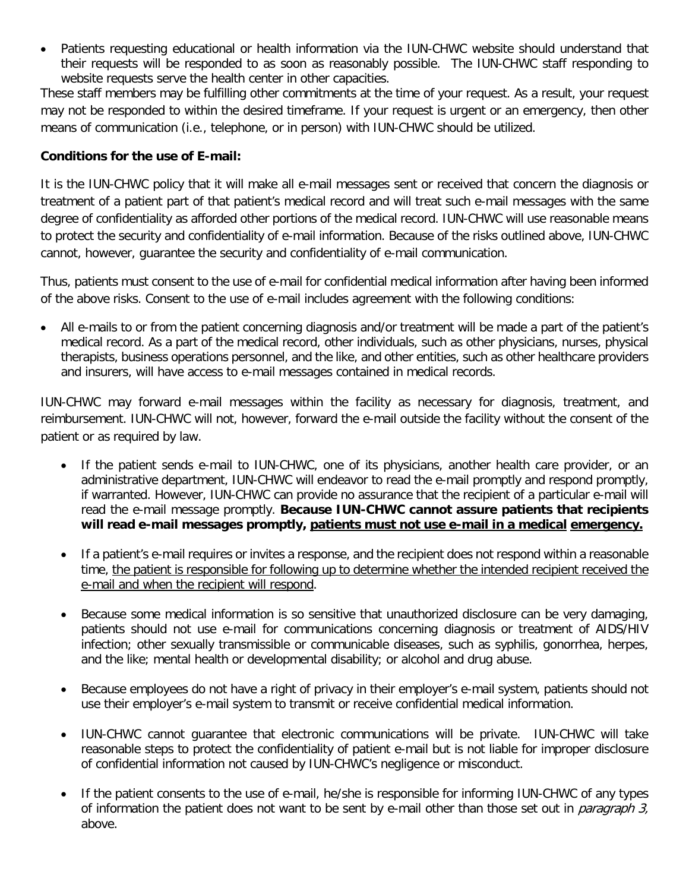website requests serve the health center in other capacities. • Patients requesting educational or health information via the IUN-CHWC website should understand that their requests will be responded to as soon as reasonably possible. The IUN-CHWC staff responding to

 These staff members may be fulfilling other commitments at the time of your request. As a result, your request may not be responded to within the desired timeframe. If your request is urgent or an emergency, then other means of communication (i.e., telephone, or in person) with IUN-CHWC should be utilized.

### **Conditions for the use of E-mail:**

 to protect the security and confidentiality of e-mail information. Because of the risks outlined above, IUN-CHWC cannot, however, guarantee the security and confidentiality of e-mail communication. It is the IUN-CHWC policy that it will make all e-mail messages sent or received that concern the diagnosis or treatment of a patient part of that patient's medical record and will treat such e-mail messages with the same degree of confidentiality as afforded other portions of the medical record. IUN-CHWC will use reasonable means

 of the above risks. Consent to the use of e-mail includes agreement with the following conditions: Thus, patients must consent to the use of e-mail for confidential medical information after having been informed

 • All e-mails to or from the patient concerning diagnosis and/or treatment will be made a part of the patient's medical record. As a part of the medical record, other individuals, such as other physicians, nurses, physical and insurers, will have access to e-mail messages contained in medical records. therapists, business operations personnel, and the like, and other entities, such as other healthcare providers

 reimbursement. IUN-CHWC will not, however, forward the e-mail outside the facility without the consent of the patient or as required by law. IUN-CHWC may forward e-mail messages within the facility as necessary for diagnosis, treatment, and

- administrative department, IUN-CHWC will endeavor to read the e-mail promptly and respond promptly, if warranted. However, IUN-CHWC can provide no assurance that the recipient of a particular e-mail will read the e-mail message promptly. **Because IUN-CHWC cannot assure patients that recipients will read e-mail messages promptly, patients must not use e-mail in a medical emergency.**  If the patient sends e-mail to IUN-CHWC, one of its physicians, another health care provider, or an
- • If a patient's e-mail requires or invites a response, and the recipient does not respond within a reasonable e-mail and when the recipient will respond. time, the patient is responsible for following up to determine whether the intended recipient received the
- • Because some medical information is so sensitive that unauthorized disclosure can be very damaging, infection; other sexually transmissible or communicable diseases, such as syphilis, gonorrhea, herpes, and the like; mental health or developmental disability; or alcohol and drug abuse. patients should not use e-mail for communications concerning diagnosis or treatment of AIDS/HIV
- • Because employees do not have a right of privacy in their employer's e-mail system, patients should not use their employer's e-mail system to transmit or receive confidential medical information.
- • IUN-CHWC cannot guarantee that electronic communications will be private. IUN-CHWC will take of confidential information not caused by IUN-CHWC's negligence or misconduct. reasonable steps to protect the confidentiality of patient e-mail but is not liable for improper disclosure
- • If the patient consents to the use of e-mail, he/she is responsible for informing IUN-CHWC of any types of information the patient does not want to be sent by e-mail other than those set out in *paragraph 3*, above.